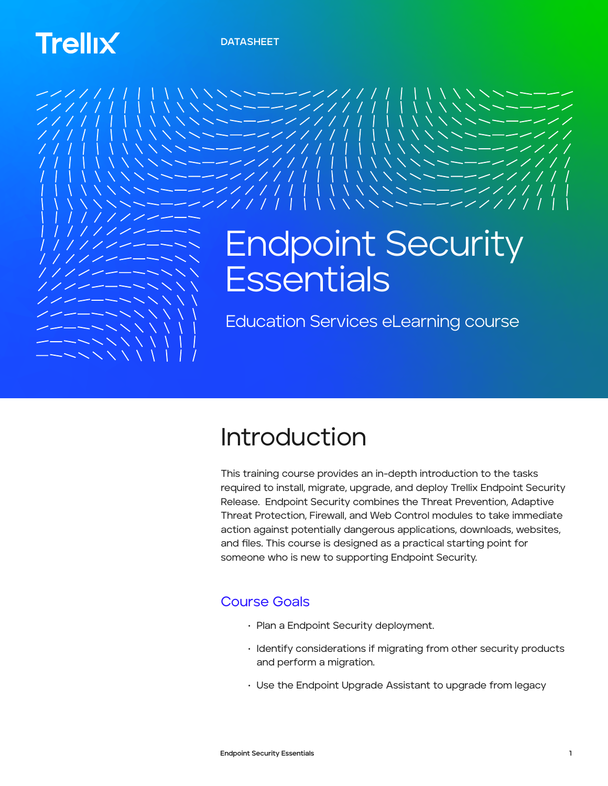# **Trellix**



## Introduction

This training course provides an in-depth introduction to the tasks required to install, migrate, upgrade, and deploy Trellix Endpoint Security Release. Endpoint Security combines the Threat Prevention, Adaptive Threat Protection, Firewall, and Web Control modules to take immediate action against potentially dangerous applications, downloads, websites, and files. This course is designed as a practical starting point for someone who is new to supporting Endpoint Security.

### Course Goals

- Plan a Endpoint Security deployment.
- Identify considerations if migrating from other security products and perform a migration.
- Use the Endpoint Upgrade Assistant to upgrade from legacy